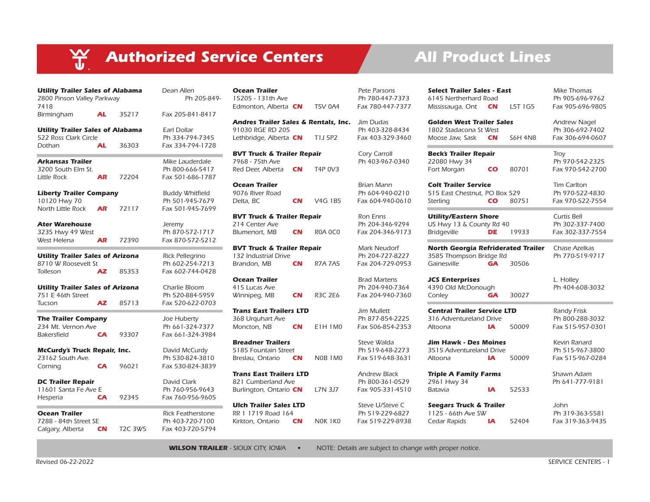#### **Authorized Service Centers**

| <b>Utility Trailer Sales of Alabama</b><br>2800 Pinson Valley Parkway<br>7418 | Dean Allen<br>Ph 205-849- |                |                                                                 |
|-------------------------------------------------------------------------------|---------------------------|----------------|-----------------------------------------------------------------|
| Birmingham                                                                    | <b>AL</b>                 | 35217          | Fax 205-841-8417                                                |
| <b>Utility Trailer Sales of Alabama</b><br>522 Ross Clark Circle<br>Dothan    | AL                        | 36303          | Earl Dollar<br>Ph 334-794-7345<br>Fax 334-794-1728              |
| <b>Arkansas Trailer</b><br>3200 South Elm St.<br>Little Rock                  | <b>AR</b>                 | 72204          | Mike Lauderdale<br>Ph 800-666-5417<br>Fax 501-686-1787          |
| <b>Liberty Trailer Company</b><br>10120 Hwy 70<br>North Little Rock           | <b>AR</b>                 | 72117          | <b>Buddy Whitfield</b><br>Ph 501-945-7679<br>Fax 501-945-7699   |
| <b>Ater Warehouse</b><br>3235 Hwy 49 West<br>West Helena                      | <b>AR</b>                 | 72390          | Jeremy<br>Ph 870-572-1717<br>Fax 870-572-5212                   |
| <b>Utility Trailer Sales of Arizona</b><br>8710 W Roosevelt St<br>Tolleson    | <b>AZ</b>                 | 85353          | Rick Pellegrino<br>Ph 602-254-7213<br>Fax 602-744-0428          |
| <b>Utility Trailer Sales of Arizona</b><br>751 E 46th Street<br>Tucson        | <b>AZ</b>                 | 85713          | Charlie Bloom<br>Ph 520-884-5959<br>Fax 520-622-0703            |
| <b>The Trailer Company</b><br>234 Mt. Vernon Ave<br>Bakersfield               | CA                        | 93307          | Joe Huberty<br>Ph 661-324-7377<br>Fax 661-324-3984              |
| <b>McCurdy's Truck Repair, Inc.</b><br>23162 South Ave.<br>Corning            | СA                        | 96021          | David McCurdy<br>Ph 530-824-3810<br>Fax 530-824-3839            |
| <b>DC Trailer Repair</b><br>11601 Santa Fe Ave E<br>Hesperia                  | <b>CA</b>                 | 92345          | David Clark<br>Ph 760-956-9643<br>Fax 760-956-9605              |
| <b>Ocean Trailer</b><br>7288 - 84th Street SE<br>Calgary, Alberta             | CN                        | <b>T2C 3W5</b> | <b>Rick Featherstone</b><br>Ph 403-720-7100<br>Fax 403-720-5794 |

**Ocean Trailer Pete Parsons** 15205 - 131th Ave Ph 780-447-7373Edmonton, Alberta **CN** T5V 0A4 Fax 780-447-7377 **Andres Trailer Sales & Rentals, Inc.** Jim Dudas

91030 RGE RD 205 Ph 403-328-8434Lethbridge, Alberta **CN** T1J 5P2 Fax 403-329-3460

**BVT Truck & Trailer Repair Cory Carroll**<br>7968 - 75th Ave **Ph** 403-967 Red Deer, Alberta **CN** T4P 0V3

**Ocean Trailer** 9076 River Road Ph 604-940-0210Delta, BC **CN** V4G 1B5 Fax 604-940-0610

**BVT Truck & Trailer Repair Ron Enns** 214 Center Ave Ph 204-346-9294 Blumenort, MB **CN** R0A 0C0 Fax 204-346-9173

**BVT Truck & Trailer Repair** Mark Neudorf 132 Industrial Drive Ph 204-727-8227Brandon, MB **CN** R7A 7A5 Fax 204-729-0953

**Ocean Trailer Community Community** Brad Martens 415 Lucas Ave Ph 204-940-7364Winnipeg, MB **CN** R3C 2E6 Fax 204-940-7360

**Trans East Trailers LTD** Jim Mullett 368 Urquhart Ave Ph 877-854-2225 Moncton, NB **CN** E1H 1M0 Fax 506-854-2353

**Breadner Trailers Steve Walda** 5185 Fountain Street Ph 519-648-2273Breslau, Ontario **CN** N0B 1M0 Fax 519-648-3631

**Trans East Trailers LTD Andrew Black** 821 Cumberland Ave Burlington, Ontario **CN** L7N 3J7 Fax 905-331-4510

**Ulch Trailer Sales LTD** Steve U/Steve C RR 1 1719 Road 164 Ph 519-229-6827Kirkton, Ontario **CN** N0K 1K0 Fax 519-229-8938

Ph 403-967-0340

Brian Mann

Ph 800-361-0529

# **All Product Lines**

| <b>Golden West Trailer Sales</b><br><b>Andrew Nagel</b><br>Ph 306-692-7402<br>1802 Stadacona St West<br>Moose Jaw, Sask<br><b>S6H 4N8</b><br>Fax 306-694-0607<br><b>CN</b><br><b>Beck's Trailer Repair</b><br>Troy<br>22080 Hwy 34<br>Ph 970-542-2325<br>Fax 970-542-2700<br>Fort Morgan<br><b>CO</b><br>80701<br><b>Colt Trailer Service</b><br><b>Tim Carlton</b><br>Ph 970-522-4830<br>515 East Chestnut. PO Box 529<br>Fax 970-522-7554<br>Sterling<br><b>CO</b><br>80751<br><b>Utility/Eastern Shore</b><br><b>Curtis Bell</b><br>US Hwy 13 & County Rd 40<br>Ph 302-337-7400<br><b>Bridgeville</b><br>Fax 302-337-7554<br>DE<br>19933<br><b>North Georgia Refriderated Trailer</b><br>Chase Azelkas<br>3585 Thompson Bridge Rd<br>Ph 770-519-9717<br>Gainesville<br>GA<br>30506<br><b>JCS Enterprises</b><br>L. Holley<br>Ph 404-608-3032<br>4390 Old McDonough<br>Conley<br>30027<br>GA<br><b>Central Trailer Service LTD</b><br>Randy Frisk |                         | L5T 1G5 | Ph 905-696-9762<br>Fax 905-696-9805 |  |
|-----------------------------------------------------------------------------------------------------------------------------------------------------------------------------------------------------------------------------------------------------------------------------------------------------------------------------------------------------------------------------------------------------------------------------------------------------------------------------------------------------------------------------------------------------------------------------------------------------------------------------------------------------------------------------------------------------------------------------------------------------------------------------------------------------------------------------------------------------------------------------------------------------------------------------------------------------|-------------------------|---------|-------------------------------------|--|
|                                                                                                                                                                                                                                                                                                                                                                                                                                                                                                                                                                                                                                                                                                                                                                                                                                                                                                                                                     |                         |         |                                     |  |
|                                                                                                                                                                                                                                                                                                                                                                                                                                                                                                                                                                                                                                                                                                                                                                                                                                                                                                                                                     |                         |         |                                     |  |
|                                                                                                                                                                                                                                                                                                                                                                                                                                                                                                                                                                                                                                                                                                                                                                                                                                                                                                                                                     |                         |         |                                     |  |
|                                                                                                                                                                                                                                                                                                                                                                                                                                                                                                                                                                                                                                                                                                                                                                                                                                                                                                                                                     |                         |         |                                     |  |
|                                                                                                                                                                                                                                                                                                                                                                                                                                                                                                                                                                                                                                                                                                                                                                                                                                                                                                                                                     |                         |         |                                     |  |
|                                                                                                                                                                                                                                                                                                                                                                                                                                                                                                                                                                                                                                                                                                                                                                                                                                                                                                                                                     |                         |         |                                     |  |
| Fax 515-957-0301<br>Altoona<br>50009<br>IA                                                                                                                                                                                                                                                                                                                                                                                                                                                                                                                                                                                                                                                                                                                                                                                                                                                                                                          |                         |         |                                     |  |
| <b>Jim Hawk - Des Moines</b><br>Kevin Ranard<br>Ph 515-967-3800<br>3515 Adventureland Drive                                                                                                                                                                                                                                                                                                                                                                                                                                                                                                                                                                                                                                                                                                                                                                                                                                                         | 316 Adventureland Drive |         | Ph 800-288-3032                     |  |
| Altoona<br>IA                                                                                                                                                                                                                                                                                                                                                                                                                                                                                                                                                                                                                                                                                                                                                                                                                                                                                                                                       |                         | 50009   | Fax 515-967-0284                    |  |
| <b>Triple A Family Farms</b><br>Shawn Adam<br>2961 Hwy 34<br>Ph 641-777-9181<br><b>Batavia</b><br>52533<br>IA                                                                                                                                                                                                                                                                                                                                                                                                                                                                                                                                                                                                                                                                                                                                                                                                                                       |                         |         |                                     |  |

**WILSON TRAILER** - SIOUX CITY, IOWA • NOTE: Details are subject to change with proper notice.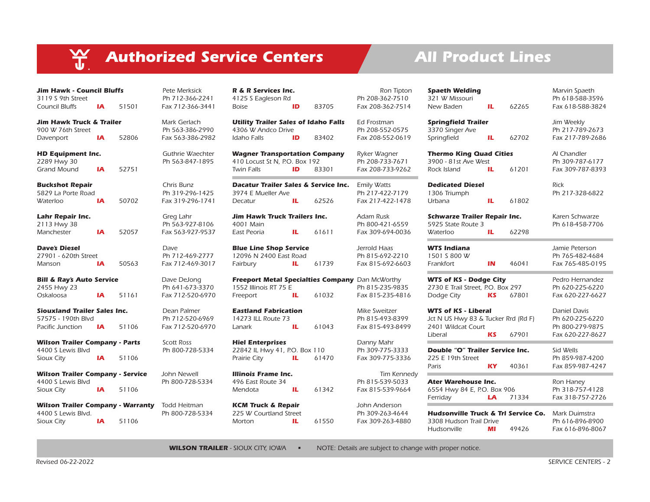# **Authorized Service Centers**

### **All Product Lines**

| <b>Jim Hawk - Council Bluffs</b><br>3119 S 9th Street                         |    |       | Pete Merksick<br>Ph 712-366-2241                   | R & I<br>4125                |
|-------------------------------------------------------------------------------|----|-------|----------------------------------------------------|------------------------------|
| <b>Council Bluffs</b>                                                         | IA | 51501 | Fax 712-366-3441                                   | <b>Boise</b>                 |
| <b>Jim Hawk Truck &amp; Trailer</b><br>900 W 76th Street                      |    |       | Mark Gerlach<br>Ph 563-386-2990                    | <b>Utilit</b><br>4306        |
| Davenport                                                                     | IA | 52806 | Fax 563-386-2982                                   | Idaho                        |
| <b>HD Equipment Inc.</b><br>2289 Hwy 30<br><b>Grand Mound</b>                 | IA | 52751 | Guthrie Waechter<br>Ph 563-847-1895                | Wag<br>410L<br>Twin          |
| <b>Buckshot Repair</b><br>5829 La Porte Road<br>Waterloo                      | IA | 50702 | Chris Bunz<br>Ph 319-296-1425<br>Fax 319-296-1741  | Daca<br>3974<br>Deca         |
| <b>Lahr Repair Inc.</b><br>2113 Hwy 38<br>Manchester                          | IA | 52057 | Greg Lahr<br>Ph 563-927-8106<br>Fax 563-927-9537   | Jim I<br>4001<br>East F      |
| <b>Dave's Diesel</b><br>27901 - 620th Street<br>Manson                        | IA | 50563 | Dave<br>Ph 712-469-2777<br>Fax 712-469-3017        | <b>Blue</b><br>1209<br>Fairb |
| <b>Bill &amp; Ray's Auto Service</b><br>2455 Hwy 23<br>Oskaloosa              | IA | 51161 | Dave DeJong<br>Ph 641-673-3370<br>Fax 712-520-6970 | Free<br>1552<br>Freep        |
| <b>Siouxland Trailer Sales Inc.</b><br>57575 - 190th Blvd<br>Pacific Junction | IA | 51106 | Dean Palmer<br>Ph 712-520-6969<br>Fax 712-520-6970 | Eastl<br>1427<br>Lanar       |
| <b>Wilson Trailer Company - Parts</b><br>4400 S Lewis Blvd<br>Sioux City      | IA | 51106 | <b>Scott Ross</b><br>Ph 800-728-5334               | Hiel<br>2284<br>Prairi       |
| <b>Wilson Trailer Company - Service</b><br>4400 S Lewis Blyd<br>Sioux City    | IA | 51106 | <b>John Newell</b><br>Ph 800-728-5334              | Illinc<br>496 E<br>Meno      |
| <b>Wilson Trailer Company - Warranty</b><br>4400 S Lewis Blvd.<br>Sioux City  | IA | 51106 | <b>Todd Heitman</b><br>Ph 800-728-5334             | <b>KCM</b><br>225 \<br>Morto |

| <b>R &amp; R Services Inc.</b>                  |     |       | Ron Tipton         |
|-------------------------------------------------|-----|-------|--------------------|
| 4125 S Eagleson Rd                              |     |       | Ph 208-362-7510    |
| Boise                                           | ID  | 83705 | Fax 208-362-7514   |
| <b>Utility Trailer Sales of Idaho Falls</b>     |     |       | Ed Frostman        |
| 4306 W Andco Drive                              |     |       | Ph 208-552-0575    |
| Idaho Falls                                     | ID  | 83402 | Fax 208-552-0619   |
| <b>Wagner Transportation Company</b>            |     |       | Ryker Wagner       |
| 410 Locust St N, P.O. Box 192                   |     |       | Ph 208-733-7671    |
| <b>Twin Falls</b>                               | מו  | 83301 | Fax 208-733-9262   |
| <b>Dacatur Trailer Sales &amp; Service Inc.</b> |     |       | <b>Emily Watts</b> |
| 3974 E Mueller Ave                              |     |       | Ph 217-422-7179    |
| Decatur                                         | п.  | 62526 | Fax 217-422-1478   |
| Jim Hawk Truck Trailers Inc.                    |     |       | <b>Adam Rusk</b>   |
| 4001 Main                                       |     |       | Ph 800-421-6559    |
| East Peoria                                     | IL  | 61611 | Fax 309-694-0036   |
| <b>Blue Line Shop Service</b>                   |     |       | Jerrold Haas       |
| 12096 N 2400 East Road                          |     |       | Ph 815-692-2210    |
| Fairbury                                        | ш   | 61739 | Fax 815-692-6603   |
| Freeport Metal Specialties Company Dan McWorthy |     |       |                    |
| 1552 Illinois RT 75 E                           |     |       | Ph 815-235-9835    |
| Freeport                                        | IL  | 61032 | Fax 815-235-4816   |
| <b>Eastland Fabrication</b>                     |     |       | Mike Sweitzer      |
| 14273 ILL Route 73                              |     |       | Ph 815-493-8399    |
| Lanark                                          | IL  | 61043 | Fax 815-493-8499   |
| <b>Hiel Enterprises</b>                         |     |       | Danny Mahr         |
| 22842 IL Hwy 41, P.O. Box 110                   |     |       | Ph 309-775-3333    |
| Prairie City                                    | IL. | 61470 | Fax 309-775-3336   |
| Illinois Frame Inc.                             |     |       | Tim Kennedy        |
| 496 East Route 34                               |     |       | Ph 815-539-5033    |
| Mendota                                         | п.  | 61342 | Fax 815-539-9664   |
| <b>KCM Truck &amp; Repair</b>                   |     |       | John Anderson      |
| 225 W Courtland Street                          |     |       | Ph 309-263-4644    |
| Morton                                          | IL. | 61550 | Fax 309-263-4880   |
|                                                 |     |       |                    |

| on Tipton<br>62-7510<br>362-7514  | <b>Spaeth Welding</b><br>321 W Missouri<br>New Baden                                               | IL | 62265 | Marvin Spaeth<br>Ph 618-588-3596<br>Fax 618-588-3824                   |
|-----------------------------------|----------------------------------------------------------------------------------------------------|----|-------|------------------------------------------------------------------------|
| man<br>52-0575<br>552-0619        | <b>Springfield Trailer</b><br>3370 Singer Ave<br>Springfield                                       | IL | 62702 | Jim Weekly<br>Ph 217-789-2673<br>Fax 217-789-2686                      |
| agner<br>33-7671<br>733-9262      | <b>Thermo King Quad Cities</b><br>3900 - 81st Ave West<br>Rock Island                              | IL | 61201 | Al Chandler<br>Ph 309-787-6177<br>Fax 309-787-8393                     |
| atts<br>$22 - 7179$<br>422-1478   | <b>Dedicated Diesel</b><br>1306 Triumph<br>Urbana                                                  | IL | 61802 | <b>Rick</b><br>Ph 217-328-6822                                         |
| ısk<br>21-6559<br>694-0036        | <b>Schwarze Trailer Repair Inc.</b><br>5925 State Route 3<br>Waterloo                              | IL | 62298 | Karen Schwarze<br>Ph 618-458-7706                                      |
| laas<br>92-2210<br>692-6603       | <b>WTS Indiana</b><br>1501 S 800 W<br>Frankfort                                                    | IN | 46041 | Jamie Peterson<br>Ph 765-482-4684<br>Fax 765-485-0195                  |
| Vorthy<br>:35-9835<br>235-4816    | <b>WTS of KS - Dodge City</b><br>2730 E Trail Street, P.O. Box 297<br>Dodge City                   | KS | 67801 | Pedro Hernandez<br>Ph 620-225-6220<br>Fax 620-227-6627                 |
| eitzer<br>93-8399<br>493-8499     | <b>WTS of KS - Liberal</b><br>Jct N US Hwy 83 & Tucker Rrd (Rd F)<br>2401 Wildcat Court<br>Liberal | KS | 67901 | Daniel Davis<br>Ph 620-225-6220<br>Ph 800-279-9875<br>Fax 620-227-8627 |
| 1ahr<br>75-3333<br>775-3336       | Double "O" Trailer Service Inc.<br>225 E 19th Street<br>Paris                                      | KY | 40361 | Sid Wells<br>Ph 859-987-4200<br>Fax 859-987-4247                       |
| im Kennedy<br>39-5033<br>539-9664 | Ater Warehouse Inc.<br>6554 Hwy 84 E, P.O. Box 906<br>Ferriday                                     | LA | 71334 | Ron Haney<br>Ph 318-757-4128<br>Fax 318-757-2726                       |
| derson<br>63-4644<br>263-4880     | Hudsonville Truck & Trl Service Co.<br>3308 Hudson Trail Drive<br>Hudsonville                      | MI | 49426 | Mark Duimstra<br>Ph 616-896-8900<br>Fax 616-896-8067                   |

**WILSON TRAILER** - SIOUX CITY, IOWA • NOTE: Details are subject to change with proper notice.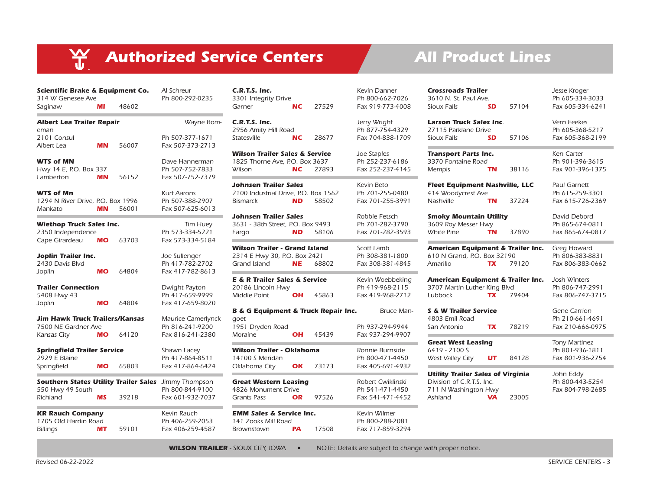#### **Authorized Service Centers**笠

| Scientific Brake & Equipment Co.<br>314 W Genesee Ave                        | Al Schreur<br>Ph 800-292-0235 |       |                                                           |
|------------------------------------------------------------------------------|-------------------------------|-------|-----------------------------------------------------------|
| Saginaw                                                                      | мı                            | 48602 |                                                           |
| <b>Albert Lea Trailer Repair</b><br>eman                                     |                               |       | Wayne Bom-                                                |
| 2101 Consul<br>Albert Lea                                                    | <b>MN</b>                     | 56007 | Ph 507-377-1671<br>Fax 507-373-2713                       |
| <b>WTS of MN</b><br>Hwy 14 E, P.O. Box 337<br>Lamberton                      | <b>MN</b>                     | 56152 | Dave Hannerman<br>Ph 507-752-7833<br>Fax 507-752-7379     |
| <b>WTS of Mn</b><br>1294 N River Drive, P.O. Box 1996<br>Mankato             | <b>MN</b>                     | 56001 | <b>Kurt Aarons</b><br>Ph 507-388-2907<br>Fax 507-625-6013 |
| <b>Wiethop Truck Sales Inc.</b><br>2350 Independence<br>Cape Girardeau       | <b>MO</b>                     | 63703 | Tim Huey<br>Ph 573-334-5221<br>Fax 573-334-5184           |
| <b>Joplin Trailer Inc.</b><br>2430 Davis Blvd<br>Joplin                      | <b>MO</b>                     | 64804 | Joe Sullenger<br>Ph 417-782-2702<br>Fax 417-782-8613      |
| <b>Trailer Connection</b><br>5408 Hwy 43<br>Joplin                           | MО                            | 64804 | Dwight Payton<br>Ph 417-659-9999<br>Fax 417-659-8020      |
| <b>Jim Hawk Truck Trailers/Kansas</b><br>7500 NE Gardner Ave<br>Kansas City  | <b>MO</b>                     | 64120 | Maurice Camerlynck<br>Ph 816-241-9200<br>Fax 816-241-2380 |
| <b>Springfield Trailer Service</b><br>2929 E Blaine<br>Springfield           | <b>MO</b>                     | 65803 | Shawn Lacey<br>Ph 417-864-8511<br>Fax 417-864-6424        |
| <b>Southern States Utility Trailer Sales</b><br>550 Hwy 49 South<br>Richland | <b>MS</b>                     | 39218 | Jimmy Thompson<br>Ph 800-844-9100<br>Fax 601-932-7037     |
| <b>KR Rauch Company</b><br>1705 Old Hardin Road<br><b>Billings</b>           | <b>MT</b>                     | 59101 | Kevin Rauch<br>Ph 406-259-2053<br>Fax 406-259-4587        |
|                                                                              |                               |       |                                                           |

| Schreur<br>800-292-0235                                 | C.R.T.S. Inc.<br>3301 Integrity Drive<br>Garner<br>NC.                                               | 27529 | Kevin Danner<br>Ph 800-662-7026<br>Fax 919-773-4008      | <b>Crossroads Trail</b><br>3610 N. St. Paul A<br>Sioux Falls                     |
|---------------------------------------------------------|------------------------------------------------------------------------------------------------------|-------|----------------------------------------------------------|----------------------------------------------------------------------------------|
| Wayne Bom-<br>507-377-1671                              | C.R.T.S. Inc.<br>2956 Amity Hill Road<br>Statesville<br><b>NC</b>                                    | 28677 | Jerry Wright<br>Ph 877-754-4329<br>Fax 704-838-1709      | Larson Truck Sa<br>27115 Parklane Di<br>Sioux Falls                              |
| x 507-373-2713                                          |                                                                                                      |       |                                                          |                                                                                  |
| ave Hannerman<br>507-752-7833 ا<br>x 507-752-7379       | <b>Wilson Trailer Sales &amp; Service</b><br>1825 Thorne Ave, P.O. Box 3637<br>Wilson<br>NC.         | 27893 | Joe Staples<br>Ph 252-237-6186<br>Fax 252-237-4145       | <b>Transport Parts</b><br>3370 Fontaine Roa<br>Mempis                            |
| ırt Aarons<br>507-388-2907<br>x 507-625-6013            | <b>Johnsen Trailer Sales</b><br>2100 Industrial Drive, P.O. Box 1562<br><b>ND</b><br><b>Bismarck</b> | 58502 | Kevin Beto<br>Ph 701-255-0480<br>Fax 701-255-3991        | <b>Fleet Equipmen</b><br>414 Woodycrest A<br>Nashville                           |
| Tim Huey<br>573-334-5221<br>x 573-334-5184              | <b>Johnsen Trailer Sales</b><br>3631 - 38th Street, P.O. Box 9493<br>Fargo<br><b>ND</b>              | 58106 | Robbie Fetsch<br>Ph 701-282-3790<br>Fax 701-282-3593     | <b>Smoky Mountair</b><br>3609 Roy Messer I<br><b>White Pine</b>                  |
| e Sullenger<br>1417-782-2702<br>x 417-782-8613          | <b>Wilson Trailer - Grand Island</b><br>2314 E Hwy 30, P.O. Box 2421<br>Grand Island<br><b>NE</b>    | 68802 | Scott Lamb<br>Ph 308-381-1800<br>Fax 308-381-4845        | <b>American Equip</b><br>610 N Grand, P.O.<br>Amarillo                           |
| <i>v</i> ight Payton<br>1417-659-9999<br>x 417-659-8020 | <b>E &amp; R Trailer Sales &amp; Service</b><br>20186 Lincoln Hwy<br>Middle Point<br>OН              | 45863 | Kevin Woebbeking<br>Ph 419-968-2115<br>Fax 419-968-2712  | <b>American Equip</b><br>3707 Martin Luthe<br>Lubbock                            |
|                                                         | <b>B &amp; G Equipment &amp; Truck Repair Inc.</b>                                                   |       | Bruce Man-                                               | <b>S &amp; W Trailer Se</b>                                                      |
| aurice Camerlynck<br>816-241-9200 ا<br>x 816-241-2380   | qoet<br>1951 Dryden Road<br>Moraine<br>OН                                                            | 45439 | Ph 937-294-9944<br>Fax 937-294-9907                      | 4803 Emil Road<br>San Antonio                                                    |
| awn Lacey<br>11–864-85 ا 4<br>x 417-864-6424            | <b>Wilson Trailer - Oklahoma</b><br>14100 S Meridan<br>Oklahoma City<br>OK                           | 73173 | Ronnie Burnside<br>Ph 800-471-4450<br>Fax 405-691-4932   | <b>Great West Leas</b><br>6419 - 2100 S<br>West Valley City                      |
| nmy Thompson<br>800-844-9100 ו<br>x 601-932-7037        | <b>Great Western Leasing</b><br>4826 Monument Drive<br><b>Grants Pass</b><br>OR.                     | 97526 | Robert Cwiklinski<br>Ph 541-471-4450<br>Fax 541-471-4452 | <b>Utility Trailer Sa</b><br>Division of C.R.T.S.<br>711 N Washingtor<br>Ashland |
| vin Rauch:<br>1406-259-2053 ہ<br>x 406-259-4587         | <b>EMM Sales &amp; Service Inc.</b><br>141 Zooks Mill Road<br>Brownstown<br><b>PA</b>                | 17508 | Kevin Wilmer<br>Ph 800-288-2081<br>Fax 717-859-3294      |                                                                                  |
|                                                         | <b>WILSON TRAILER</b> - SIOUX CITY. IOWA                                                             |       | NOTE: Details are subject to change with proper notice.  |                                                                                  |

**Fleet Equipment Nashville, LLC** Paul Garnett 414 Woodycrest Ave Ph 615-259-3301<br>Nashville **TN** 37224 Fax 615-726-2369 **Smoky Mountain Utility** David Debord 3609 Roy Messer Hwy Ph 865-674-0811 White Pine **TN** 37890 Fax 865-674-0817

**American Equipment & Trailer Inc.** Greg Howard 610 N Grand, P.O. Box 32190 Ph 806-383-8831 Amarillo **TX** 79120 Fax 806-383-0662

**American Equipment & Trailer Inc.** Josh Winters 3707 Martin Luther King Blvd Ph 806-747-2991 Lubbock **TX** 79404 Fax 806-747-3715

**TN** 37224 Fax 615-726-2369

**S & W Trailer Service Gene Carrion** 4803 Emil Road Ph 210-661-4691San Antonio **TX** 78219 Fax 210-666-0975

**COL Great West Leasing** Tony Martinez 6419 - 2100 S Ph 801-936-1811

West Valley City **UT** 84128 Fax 801-936-2754

**Utility Trailer Sales of Virginia** John Eddy Division of C.R.T.S. Inc. Ph 800-443-5254 711 N Washington Hwy Fax 804-798-2685<br>Ashland **VA** 23005

#### **All Product Lines**

**Crossroads Trailer Jesse Kroger** 3610 N. St. Paul Ave. Ph 605-334-3033Sioux Falls **SD** 57104 Fax 605-334-6241

**Larson Truck Sales Inc**. Vern Feekes27115 Parklane Drive **Ph 605-368-5217** Sioux Falls **SD** 57106 Fax 605-368-2199

**Transport Parts Inc.** Ken Carter 3370 Fontaine Road Ph 901-396-3615Mempis **TN** 38116 Fax 901-396-1375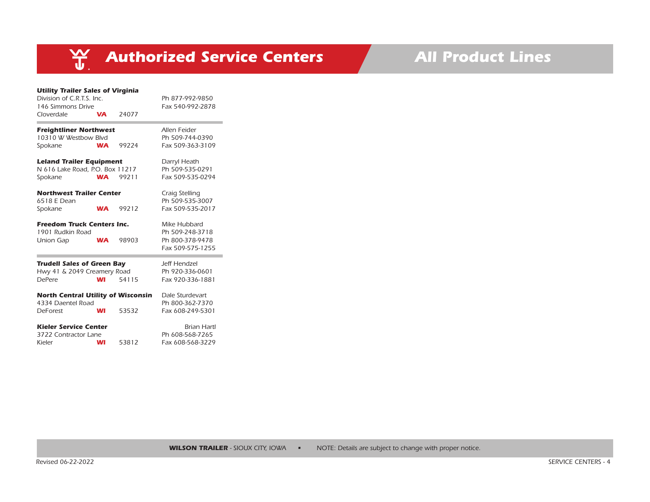

## **All Product Lines**

#### **Utility Trailer Sales of Virginia**

| Division of C.R.T.S. Inc.<br>146 Simmons Drive                                |           |       | Ph 877-992-9850<br>Fax 540-992-2878                       |
|-------------------------------------------------------------------------------|-----------|-------|-----------------------------------------------------------|
| Cloverdale                                                                    | <b>VA</b> | 24077 |                                                           |
| <b>Freightliner Northwest</b><br>10310 W Westbow Blvd                         |           |       | Allen Feider<br>Ph 509-744-0390                           |
| Spokane                                                                       | <b>WA</b> | 99224 | Fax 509-363-3109                                          |
| <b>Leland Trailer Equipment</b><br>N 616 Lake Road, P.O. Box 11217<br>Spokane | <b>WA</b> | 99211 | Darryl Heath<br>Ph 509-535-0291<br>Fax 509-535-0294       |
| <b>Northwest Trailer Center</b><br>6518 E Dean<br>Spokane                     | <b>WA</b> | 99212 | Craig Stelling<br>Ph 509-535-3007<br>Fax 509-535-2017     |
| <b>Freedom Truck Centers Inc.</b><br>1901 Rudkin Road<br>Union Gap            | <b>WA</b> | 98903 | Mike Hubbard<br>Ph 509-248-3718<br>Ph 800-378-9478        |
|                                                                               |           |       | Fax 509-575-1255                                          |
| <b>Trudell Sales of Green Bay</b>                                             |           |       | Jeff Hendzel                                              |
| Hwy 41 & 2049 Creamery Road                                                   |           |       | Ph 920-336-0601                                           |
| <b>DePere</b>                                                                 | <b>WI</b> | 54115 | Fax 920-336-1881                                          |
| <b>North Central Utility of Wisconsin</b><br>4334 Daentel Road                |           |       | Dale Sturdevart<br>Ph 800-362-7370                        |
| <b>DeForest</b>                                                               | WI        | 53532 | Fax 608-249-5301                                          |
| <b>Kieler Service Center</b><br>3722 Contractor Lane<br>Kieler                | WI        | 53812 | <b>Brian Hartl</b><br>Ph 608-568-7265<br>Fax 608-568-3229 |

**WILSON TRAILER** - SIOUX CITY, IOWA • NOTE: Details are subject to change with proper notice.